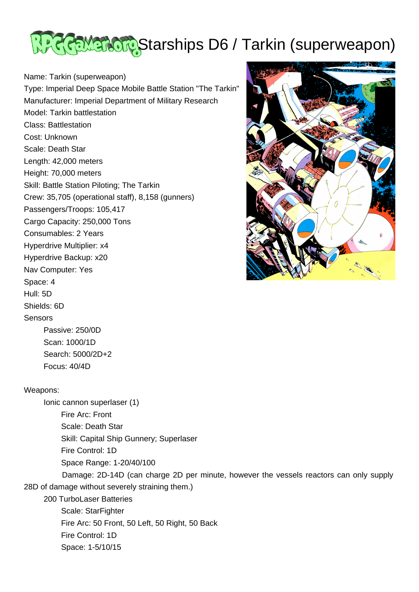

Name: Tarkin (superweapon)

Type: Imperial Deep Space Mobile Battle Station "The Tarkin" Manufacturer: Imperial Department of Military Research Model: Tarkin battlestation Class: Battlestation Cost: Unknown Scale: Death Star Length: 42,000 meters Height: 70,000 meters Skill: Battle Station Piloting; The Tarkin Crew: 35,705 (operational staff), 8,158 (gunners) Passengers/Troops: 105,417 Cargo Capacity: 250,000 Tons Consumables: 2 Years Hyperdrive Multiplier: x4 Hyperdrive Backup: x20 Nav Computer: Yes Space: 4 Hull: 5D



**Sensors** 

Shields: 6D

 Passive: 250/0D Scan: 1000/1D Search: 5000/2D+2 Focus: 40/4D

## Weapons:

 Ionic cannon superlaser (1) Fire Arc: Front Scale: Death Star Skill: Capital Ship Gunnery; Superlaser Fire Control: 1D Space Range: 1-20/40/100

 Damage: 2D-14D (can charge 2D per minute, however the vessels reactors can only supply 28D of damage without severely straining them.)

 200 TurboLaser Batteries Scale: StarFighter Fire Arc: 50 Front, 50 Left, 50 Right, 50 Back Fire Control: 1D

Space: 1-5/10/15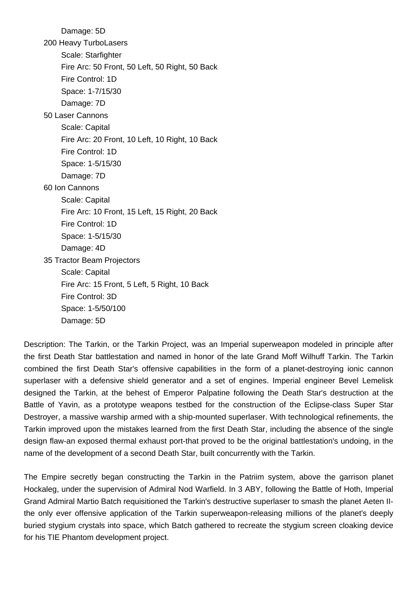Damage: 5D 200 Heavy TurboLasers Scale: Starfighter Fire Arc: 50 Front, 50 Left, 50 Right, 50 Back Fire Control: 1D Space: 1-7/15/30 Damage: 7D 50 Laser Cannons Scale: Capital Fire Arc: 20 Front, 10 Left, 10 Right, 10 Back Fire Control: 1D Space: 1-5/15/30 Damage: 7D 60 Ion Cannons Scale: Capital Fire Arc: 10 Front, 15 Left, 15 Right, 20 Back Fire Control: 1D Space: 1-5/15/30 Damage: 4D 35 Tractor Beam Projectors Scale: Capital Fire Arc: 15 Front, 5 Left, 5 Right, 10 Back Fire Control: 3D Space: 1-5/50/100 Damage: 5D

Description: The Tarkin, or the Tarkin Project, was an Imperial superweapon modeled in principle after the first Death Star battlestation and named in honor of the late Grand Moff Wilhuff Tarkin. The Tarkin combined the first Death Star's offensive capabilities in the form of a planet-destroying ionic cannon superlaser with a defensive shield generator and a set of engines. Imperial engineer Bevel Lemelisk designed the Tarkin, at the behest of Emperor Palpatine following the Death Star's destruction at the Battle of Yavin, as a prototype weapons testbed for the construction of the Eclipse-class Super Star Destroyer, a massive warship armed with a ship-mounted superlaser. With technological refinements, the Tarkin improved upon the mistakes learned from the first Death Star, including the absence of the single design flaw-an exposed thermal exhaust port-that proved to be the original battlestation's undoing, in the name of the development of a second Death Star, built concurrently with the Tarkin.

The Empire secretly began constructing the Tarkin in the Patriim system, above the garrison planet Hockaleg, under the supervision of Admiral Nod Warfield. In 3 ABY, following the Battle of Hoth, Imperial Grand Admiral Martio Batch requisitioned the Tarkin's destructive superlaser to smash the planet Aeten IIthe only ever offensive application of the Tarkin superweapon-releasing millions of the planet's deeply buried stygium crystals into space, which Batch gathered to recreate the stygium screen cloaking device for his TIE Phantom development project.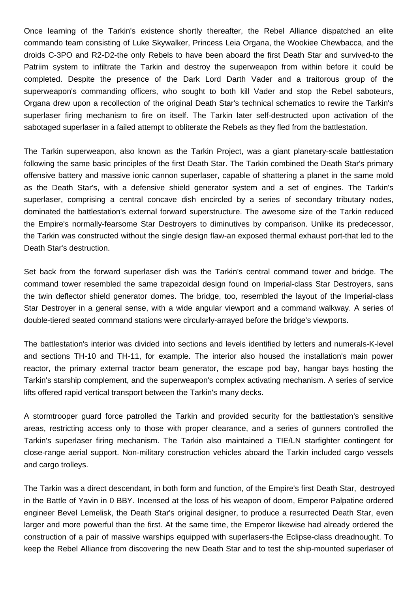Once learning of the Tarkin's existence shortly thereafter, the Rebel Alliance dispatched an elite commando team consisting of Luke Skywalker, Princess Leia Organa, the Wookiee Chewbacca, and the droids C-3PO and R2-D2-the only Rebels to have been aboard the first Death Star and survived-to the Patriim system to infiltrate the Tarkin and destroy the superweapon from within before it could be completed. Despite the presence of the Dark Lord Darth Vader and a traitorous group of the superweapon's commanding officers, who sought to both kill Vader and stop the Rebel saboteurs, Organa drew upon a recollection of the original Death Star's technical schematics to rewire the Tarkin's superlaser firing mechanism to fire on itself. The Tarkin later self-destructed upon activation of the sabotaged superlaser in a failed attempt to obliterate the Rebels as they fled from the battlestation.

The Tarkin superweapon, also known as the Tarkin Project, was a giant planetary-scale battlestation following the same basic principles of the first Death Star. The Tarkin combined the Death Star's primary offensive battery and massive ionic cannon superlaser, capable of shattering a planet in the same mold as the Death Star's, with a defensive shield generator system and a set of engines. The Tarkin's superlaser, comprising a central concave dish encircled by a series of secondary tributary nodes, dominated the battlestation's external forward superstructure. The awesome size of the Tarkin reduced the Empire's normally-fearsome Star Destroyers to diminutives by comparison. Unlike its predecessor, the Tarkin was constructed without the single design flaw-an exposed thermal exhaust port-that led to the Death Star's destruction.

Set back from the forward superlaser dish was the Tarkin's central command tower and bridge. The command tower resembled the same trapezoidal design found on Imperial-class Star Destroyers, sans the twin deflector shield generator domes. The bridge, too, resembled the layout of the Imperial-class Star Destroyer in a general sense, with a wide angular viewport and a command walkway. A series of double-tiered seated command stations were circularly-arrayed before the bridge's viewports.

The battlestation's interior was divided into sections and levels identified by letters and numerals-K-level and sections TH-10 and TH-11, for example. The interior also housed the installation's main power reactor, the primary external tractor beam generator, the escape pod bay, hangar bays hosting the Tarkin's starship complement, and the superweapon's complex activating mechanism. A series of service lifts offered rapid vertical transport between the Tarkin's many decks.

A stormtrooper guard force patrolled the Tarkin and provided security for the battlestation's sensitive areas, restricting access only to those with proper clearance, and a series of gunners controlled the Tarkin's superlaser firing mechanism. The Tarkin also maintained a TIE/LN starfighter contingent for close-range aerial support. Non-military construction vehicles aboard the Tarkin included cargo vessels and cargo trolleys.

The Tarkin was a direct descendant, in both form and function, of the Empire's first Death Star, destroyed in the Battle of Yavin in 0 BBY. Incensed at the loss of his weapon of doom, Emperor Palpatine ordered engineer Bevel Lemelisk, the Death Star's original designer, to produce a resurrected Death Star, even larger and more powerful than the first. At the same time, the Emperor likewise had already ordered the construction of a pair of massive warships equipped with superlasers-the Eclipse-class dreadnought. To keep the Rebel Alliance from discovering the new Death Star and to test the ship-mounted superlaser of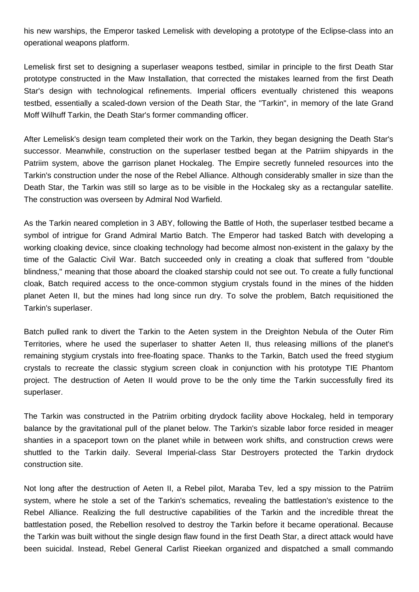his new warships, the Emperor tasked Lemelisk with developing a prototype of the Eclipse-class into an operational weapons platform.

Lemelisk first set to designing a superlaser weapons testbed, similar in principle to the first Death Star prototype constructed in the Maw Installation, that corrected the mistakes learned from the first Death Star's design with technological refinements. Imperial officers eventually christened this weapons testbed, essentially a scaled-down version of the Death Star, the "Tarkin", in memory of the late Grand Moff Wilhuff Tarkin, the Death Star's former commanding officer.

After Lemelisk's design team completed their work on the Tarkin, they began designing the Death Star's successor. Meanwhile, construction on the superlaser testbed began at the Patriim shipyards in the Patriim system, above the garrison planet Hockaleg. The Empire secretly funneled resources into the Tarkin's construction under the nose of the Rebel Alliance. Although considerably smaller in size than the Death Star, the Tarkin was still so large as to be visible in the Hockaleg sky as a rectangular satellite. The construction was overseen by Admiral Nod Warfield.

As the Tarkin neared completion in 3 ABY, following the Battle of Hoth, the superlaser testbed became a symbol of intrigue for Grand Admiral Martio Batch. The Emperor had tasked Batch with developing a working cloaking device, since cloaking technology had become almost non-existent in the galaxy by the time of the Galactic Civil War. Batch succeeded only in creating a cloak that suffered from "double blindness," meaning that those aboard the cloaked starship could not see out. To create a fully functional cloak, Batch required access to the once-common stygium crystals found in the mines of the hidden planet Aeten II, but the mines had long since run dry. To solve the problem, Batch requisitioned the Tarkin's superlaser.

Batch pulled rank to divert the Tarkin to the Aeten system in the Dreighton Nebula of the Outer Rim Territories, where he used the superlaser to shatter Aeten II, thus releasing millions of the planet's remaining stygium crystals into free-floating space. Thanks to the Tarkin, Batch used the freed stygium crystals to recreate the classic stygium screen cloak in conjunction with his prototype TIE Phantom project. The destruction of Aeten II would prove to be the only time the Tarkin successfully fired its superlaser.

The Tarkin was constructed in the Patriim orbiting drydock facility above Hockaleg, held in temporary balance by the gravitational pull of the planet below. The Tarkin's sizable labor force resided in meager shanties in a spaceport town on the planet while in between work shifts, and construction crews were shuttled to the Tarkin daily. Several Imperial-class Star Destroyers protected the Tarkin drydock construction site.

Not long after the destruction of Aeten II, a Rebel pilot, Maraba Tev, led a spy mission to the Patriim system, where he stole a set of the Tarkin's schematics, revealing the battlestation's existence to the Rebel Alliance. Realizing the full destructive capabilities of the Tarkin and the incredible threat the battlestation posed, the Rebellion resolved to destroy the Tarkin before it became operational. Because the Tarkin was built without the single design flaw found in the first Death Star, a direct attack would have been suicidal. Instead, Rebel General Carlist Rieekan organized and dispatched a small commando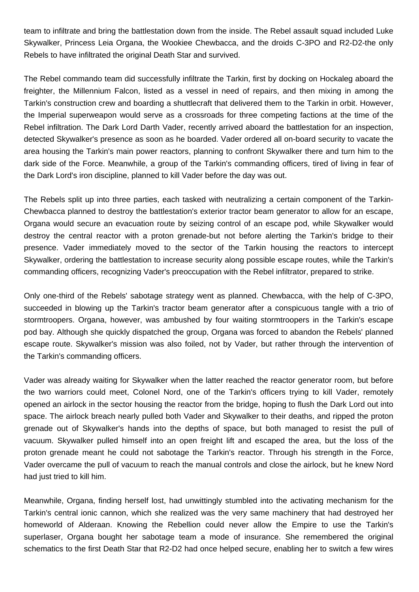team to infiltrate and bring the battlestation down from the inside. The Rebel assault squad included Luke Skywalker, Princess Leia Organa, the Wookiee Chewbacca, and the droids C-3PO and R2-D2-the only Rebels to have infiltrated the original Death Star and survived.

The Rebel commando team did successfully infiltrate the Tarkin, first by docking on Hockaleg aboard the freighter, the Millennium Falcon, listed as a vessel in need of repairs, and then mixing in among the Tarkin's construction crew and boarding a shuttlecraft that delivered them to the Tarkin in orbit. However, the Imperial superweapon would serve as a crossroads for three competing factions at the time of the Rebel infiltration. The Dark Lord Darth Vader, recently arrived aboard the battlestation for an inspection, detected Skywalker's presence as soon as he boarded. Vader ordered all on-board security to vacate the area housing the Tarkin's main power reactors, planning to confront Skywalker there and turn him to the dark side of the Force. Meanwhile, a group of the Tarkin's commanding officers, tired of living in fear of the Dark Lord's iron discipline, planned to kill Vader before the day was out.

The Rebels split up into three parties, each tasked with neutralizing a certain component of the Tarkin-Chewbacca planned to destroy the battlestation's exterior tractor beam generator to allow for an escape, Organa would secure an evacuation route by seizing control of an escape pod, while Skywalker would destroy the central reactor with a proton grenade-but not before alerting the Tarkin's bridge to their presence. Vader immediately moved to the sector of the Tarkin housing the reactors to intercept Skywalker, ordering the battlestation to increase security along possible escape routes, while the Tarkin's commanding officers, recognizing Vader's preoccupation with the Rebel infiltrator, prepared to strike.

Only one-third of the Rebels' sabotage strategy went as planned. Chewbacca, with the help of C-3PO, succeeded in blowing up the Tarkin's tractor beam generator after a conspicuous tangle with a trio of stormtroopers. Organa, however, was ambushed by four waiting stormtroopers in the Tarkin's escape pod bay. Although she quickly dispatched the group, Organa was forced to abandon the Rebels' planned escape route. Skywalker's mission was also foiled, not by Vader, but rather through the intervention of the Tarkin's commanding officers.

Vader was already waiting for Skywalker when the latter reached the reactor generator room, but before the two warriors could meet, Colonel Nord, one of the Tarkin's officers trying to kill Vader, remotely opened an airlock in the sector housing the reactor from the bridge, hoping to flush the Dark Lord out into space. The airlock breach nearly pulled both Vader and Skywalker to their deaths, and ripped the proton grenade out of Skywalker's hands into the depths of space, but both managed to resist the pull of vacuum. Skywalker pulled himself into an open freight lift and escaped the area, but the loss of the proton grenade meant he could not sabotage the Tarkin's reactor. Through his strength in the Force, Vader overcame the pull of vacuum to reach the manual controls and close the airlock, but he knew Nord had just tried to kill him.

Meanwhile, Organa, finding herself lost, had unwittingly stumbled into the activating mechanism for the Tarkin's central ionic cannon, which she realized was the very same machinery that had destroyed her homeworld of Alderaan. Knowing the Rebellion could never allow the Empire to use the Tarkin's superlaser, Organa bought her sabotage team a mode of insurance. She remembered the original schematics to the first Death Star that R2-D2 had once helped secure, enabling her to switch a few wires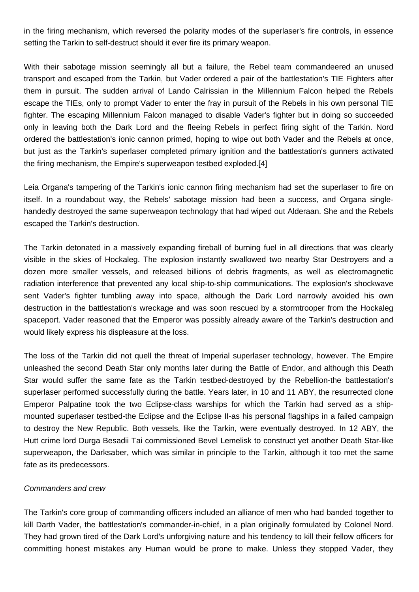in the firing mechanism, which reversed the polarity modes of the superlaser's fire controls, in essence setting the Tarkin to self-destruct should it ever fire its primary weapon.

With their sabotage mission seemingly all but a failure, the Rebel team commandeered an unused transport and escaped from the Tarkin, but Vader ordered a pair of the battlestation's TIE Fighters after them in pursuit. The sudden arrival of Lando Calrissian in the Millennium Falcon helped the Rebels escape the TIEs, only to prompt Vader to enter the fray in pursuit of the Rebels in his own personal TIE fighter. The escaping Millennium Falcon managed to disable Vader's fighter but in doing so succeeded only in leaving both the Dark Lord and the fleeing Rebels in perfect firing sight of the Tarkin. Nord ordered the battlestation's ionic cannon primed, hoping to wipe out both Vader and the Rebels at once, but just as the Tarkin's superlaser completed primary ignition and the battlestation's gunners activated the firing mechanism, the Empire's superweapon testbed exploded.[4]

Leia Organa's tampering of the Tarkin's ionic cannon firing mechanism had set the superlaser to fire on itself. In a roundabout way, the Rebels' sabotage mission had been a success, and Organa singlehandedly destroyed the same superweapon technology that had wiped out Alderaan. She and the Rebels escaped the Tarkin's destruction.

The Tarkin detonated in a massively expanding fireball of burning fuel in all directions that was clearly visible in the skies of Hockaleg. The explosion instantly swallowed two nearby Star Destroyers and a dozen more smaller vessels, and released billions of debris fragments, as well as electromagnetic radiation interference that prevented any local ship-to-ship communications. The explosion's shockwave sent Vader's fighter tumbling away into space, although the Dark Lord narrowly avoided his own destruction in the battlestation's wreckage and was soon rescued by a stormtrooper from the Hockaleg spaceport. Vader reasoned that the Emperor was possibly already aware of the Tarkin's destruction and would likely express his displeasure at the loss.

The loss of the Tarkin did not quell the threat of Imperial superlaser technology, however. The Empire unleashed the second Death Star only months later during the Battle of Endor, and although this Death Star would suffer the same fate as the Tarkin testbed-destroyed by the Rebellion-the battlestation's superlaser performed successfully during the battle. Years later, in 10 and 11 ABY, the resurrected clone Emperor Palpatine took the two Eclipse-class warships for which the Tarkin had served as a shipmounted superlaser testbed-the Eclipse and the Eclipse II-as his personal flagships in a failed campaign to destroy the New Republic. Both vessels, like the Tarkin, were eventually destroyed. In 12 ABY, the Hutt crime lord Durga Besadii Tai commissioned Bevel Lemelisk to construct yet another Death Star-like superweapon, the Darksaber, which was similar in principle to the Tarkin, although it too met the same fate as its predecessors.

## Commanders and crew

The Tarkin's core group of commanding officers included an alliance of men who had banded together to kill Darth Vader, the battlestation's commander-in-chief, in a plan originally formulated by Colonel Nord. They had grown tired of the Dark Lord's unforgiving nature and his tendency to kill their fellow officers for committing honest mistakes any Human would be prone to make. Unless they stopped Vader, they